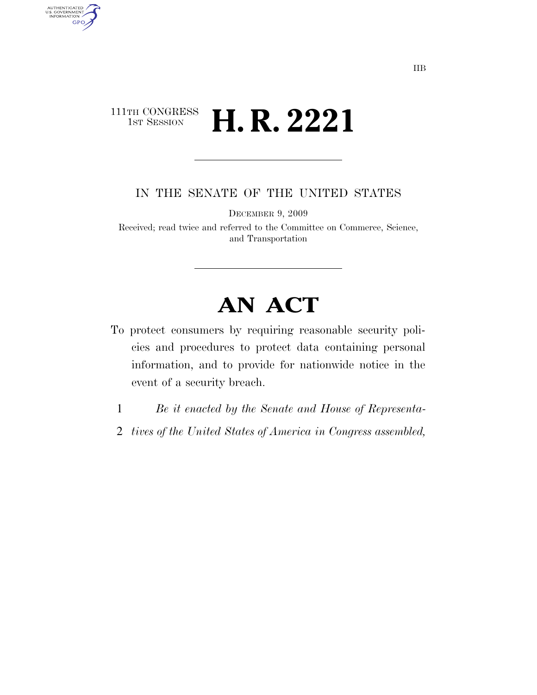# 111TH CONGRESS<br>1st Session **H. R. 2221**

AUTHENTICATED<br>U.S. GOVERNMENT<br>INFORMATION GPO

IN THE SENATE OF THE UNITED STATES

DECEMBER 9, 2009

Received; read twice and referred to the Committee on Commerce, Science, and Transportation

# **AN ACT**

- To protect consumers by requiring reasonable security policies and procedures to protect data containing personal information, and to provide for nationwide notice in the event of a security breach.
- 1 *Be it enacted by the Senate and House of Representa-*
- 2 *tives of the United States of America in Congress assembled,*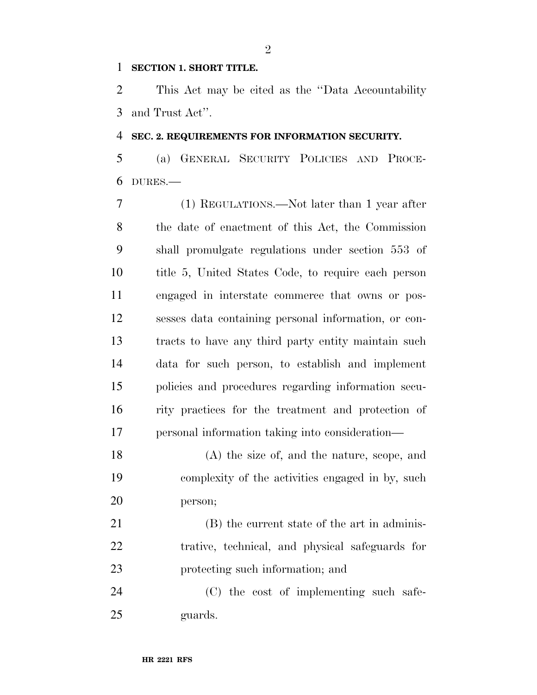#### **SECTION 1. SHORT TITLE.**

 This Act may be cited as the ''Data Accountability and Trust Act''.

#### **SEC. 2. REQUIREMENTS FOR INFORMATION SECURITY.**

 (a) GENERAL SECURITY POLICIES AND PROCE-DURES.—

 (1) REGULATIONS.—Not later than 1 year after the date of enactment of this Act, the Commission shall promulgate regulations under section 553 of title 5, United States Code, to require each person engaged in interstate commerce that owns or pos- sesses data containing personal information, or con- tracts to have any third party entity maintain such data for such person, to establish and implement policies and procedures regarding information secu- rity practices for the treatment and protection of personal information taking into consideration—

 (A) the size of, and the nature, scope, and complexity of the activities engaged in by, such person;

 (B) the current state of the art in adminis- trative, technical, and physical safeguards for protecting such information; and

 (C) the cost of implementing such safe-guards.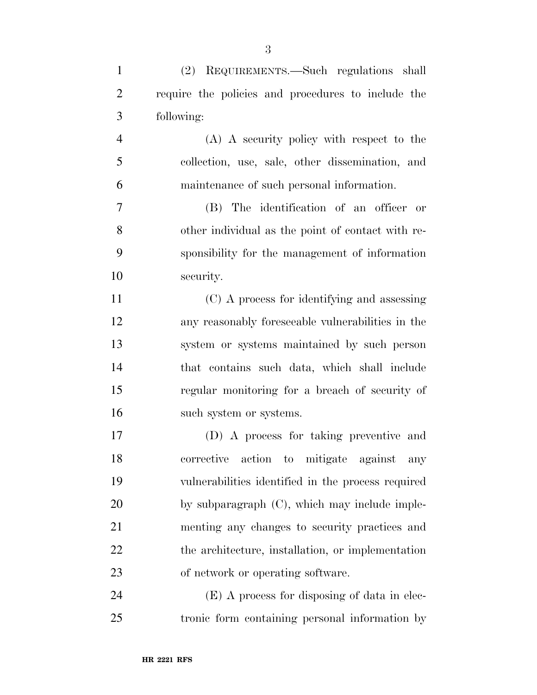| $\mathbf{1}$   | (2) REQUIREMENTS.—Such regulations shall           |
|----------------|----------------------------------------------------|
| $\overline{2}$ | require the policies and procedures to include the |
| 3              | following:                                         |
| 4              | (A) A security policy with respect to the          |
| 5              | collection, use, sale, other dissemination, and    |
| 6              | maintenance of such personal information.          |
| 7              | (B) The identification of an officer or            |
| 8              | other individual as the point of contact with re-  |
| 9              | sponsibility for the management of information     |
| 10             | security.                                          |
| 11             | (C) A process for identifying and assessing        |
| 12             | any reasonably foreseeable vulnerabilities in the  |
| 13             | system or systems maintained by such person        |
| 14             | that contains such data, which shall include       |
| 15             | regular monitoring for a breach of security of     |
| 16             | such system or systems.                            |
| 17             | (D) A process for taking preventive and            |
| 18             | action to mitigate<br>corrective<br>against<br>any |
| 19             | vulnerabilities identified in the process required |
| 20             | by subparagraph (C), which may include imple-      |
| 21             | menting any changes to security practices and      |
| 22             | the architecture, installation, or implementation  |
| 23             | of network or operating software.                  |
| 24             | $(E)$ A process for disposing of data in elec-     |

tronic form containing personal information by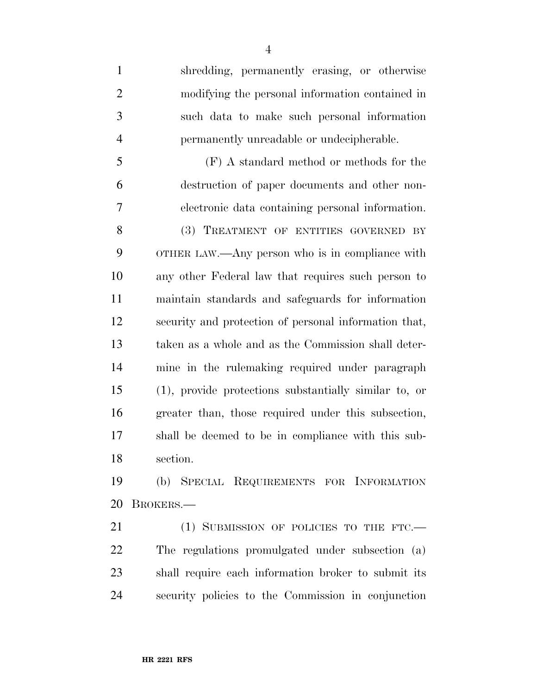shredding, permanently erasing, or otherwise modifying the personal information contained in such data to make such personal information permanently unreadable or undecipherable. (F) A standard method or methods for the destruction of paper documents and other non- electronic data containing personal information. 8 (3) TREATMENT OF ENTITIES GOVERNED BY OTHER LAW.—Any person who is in compliance with any other Federal law that requires such person to maintain standards and safeguards for information security and protection of personal information that, taken as a whole and as the Commission shall deter- mine in the rulemaking required under paragraph (1), provide protections substantially similar to, or greater than, those required under this subsection, shall be deemed to be in compliance with this sub-section.

 (b) SPECIAL REQUIREMENTS FOR INFORMATION BROKERS.—

21 (1) SUBMISSION OF POLICIES TO THE FTC.— The regulations promulgated under subsection (a) shall require each information broker to submit its security policies to the Commission in conjunction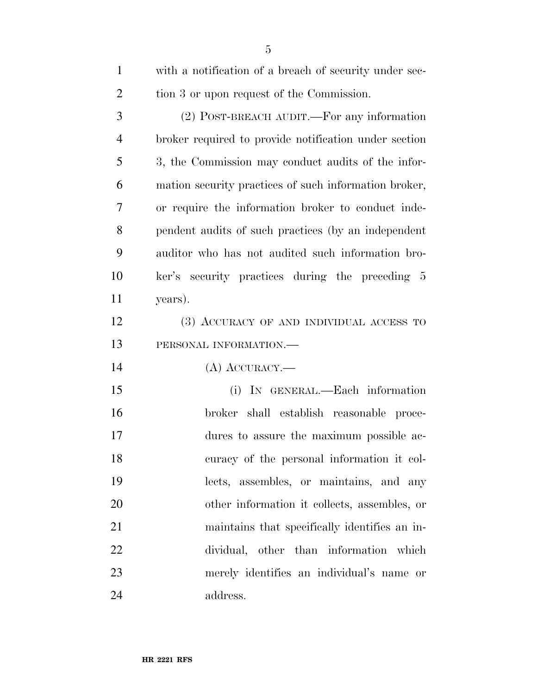| $\mathbf{1}$   | with a notification of a breach of security under sec- |
|----------------|--------------------------------------------------------|
| $\overline{2}$ | tion 3 or upon request of the Commission.              |
| 3              | (2) POST-BREACH AUDIT.—For any information             |
| 4              | broker required to provide notification under section  |
| 5              | 3, the Commission may conduct audits of the infor-     |
| 6              | mation security practices of such information broker,  |
| 7              | or require the information broker to conduct inde-     |
| 8              | pendent audits of such practices (by an independent    |
| 9              | auditor who has not audited such information bro-      |
| 10             | ker's security practices during the preceding 5        |
| 11             | years).                                                |
| 12             | (3) ACCURACY OF AND INDIVIDUAL ACCESS TO               |
| 13             | PERSONAL INFORMATION.-                                 |
| 14             | $(A)$ ACCURACY.—                                       |
| 15             | (i) IN GENERAL.—Each information                       |
| 16             | broker shall establish reasonable proce-               |
| 17             | dures to assure the maximum possible ac-               |
| 18             | curacy of the personal information it col-             |
| 19             | lects, assembles, or maintains, and any                |
| 20             | other information it collects, assembles, or           |
| 21             | maintains that specifically identifies an in-          |
| 22             | dividual, other than information which                 |
| 23             | merely identifies an individual's name or              |
| 24             | address.                                               |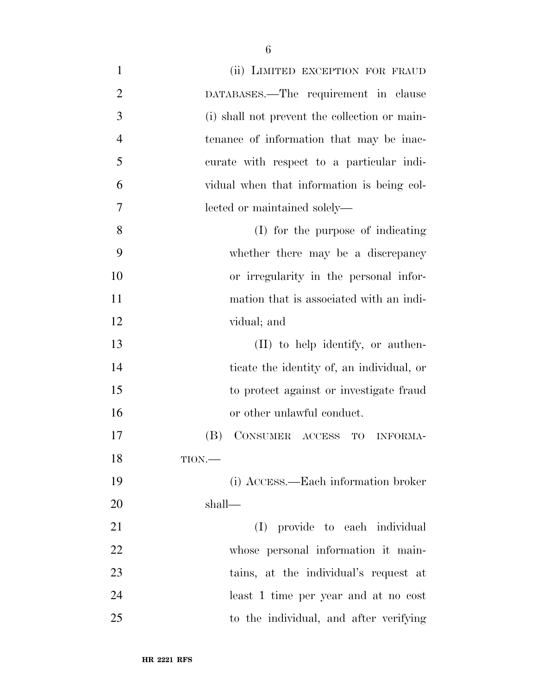| $\mathbf{1}$   | (ii) LIMITED EXCEPTION FOR FRAUD              |
|----------------|-----------------------------------------------|
| $\overline{2}$ | DATABASES.—The requirement in clause          |
| 3              | (i) shall not prevent the collection or main- |
| $\overline{4}$ | tenance of information that may be inac-      |
| 5              | curate with respect to a particular indi-     |
| 6              | vidual when that information is being col-    |
| 7              | lected or maintained solely—                  |
| 8              | (I) for the purpose of indicating             |
| 9              | whether there may be a discrepancy            |
| 10             | or irregularity in the personal infor-        |
| 11             | mation that is associated with an indi-       |
| 12             | vidual; and                                   |
| 13             | (II) to help identify, or authen-             |
| 14             | ticate the identity of, an individual, or     |
| 15             | to protect against or investigate fraud       |
| 16             | or other unlawful conduct.                    |
| 17             | CONSUMER ACCESS TO<br>(B)<br><b>INFORMA-</b>  |
| 18             | $TION$ —                                      |
| 19             | (i) ACCESS.—Each information broker           |
| 20             | shall—                                        |
| 21             | (I) provide to each individual                |
| 22             | whose personal information it main-           |
| 23             | tains, at the individual's request at         |
| 24             | least 1 time per year and at no cost          |
| 25             | to the individual, and after verifying        |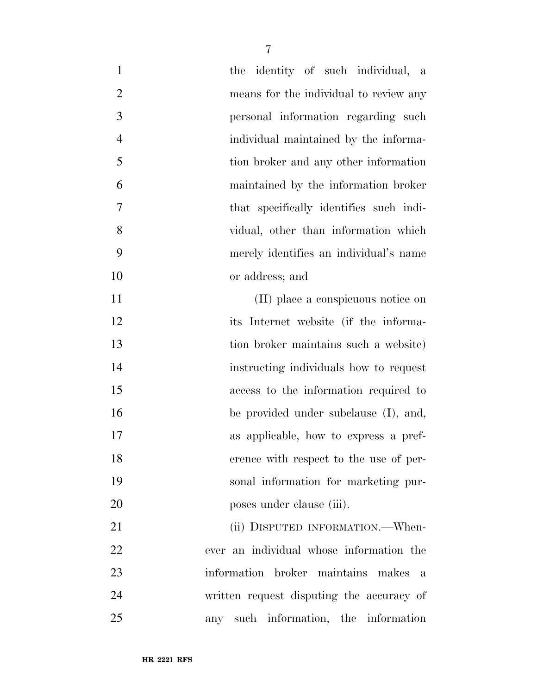| $\mathbf{1}$   | the identity of such individual, a        |
|----------------|-------------------------------------------|
| $\overline{2}$ | means for the individual to review any    |
| $\mathfrak{Z}$ | personal information regarding such       |
| $\overline{4}$ | individual maintained by the informa-     |
| 5              | tion broker and any other information     |
| 6              | maintained by the information broker      |
| 7              | that specifically identifies such indi-   |
| 8              | vidual, other than information which      |
| 9              | merely identifies an individual's name    |
| 10             | or address; and                           |
| 11             | (II) place a conspicuous notice on        |
| 12             | its Internet website (if the informa-     |
| 13             | tion broker maintains such a website)     |
| 14             | instructing individuals how to request    |
| 15             | access to the information required to     |
| 16             | be provided under subclause (I), and,     |
| 17             | as applicable, how to express a pref-     |
| 18             | erence with respect to the use of per-    |
| 19             | sonal information for marketing pur-      |
| 20             | poses under clause (iii).                 |
| 21             | (ii) DISPUTED INFORMATION.—When-          |
| 22             | ever an individual whose information the  |
| 23             | information broker maintains makes<br>a   |
| 24             | written request disputing the accuracy of |
| 25             | any such information, the information     |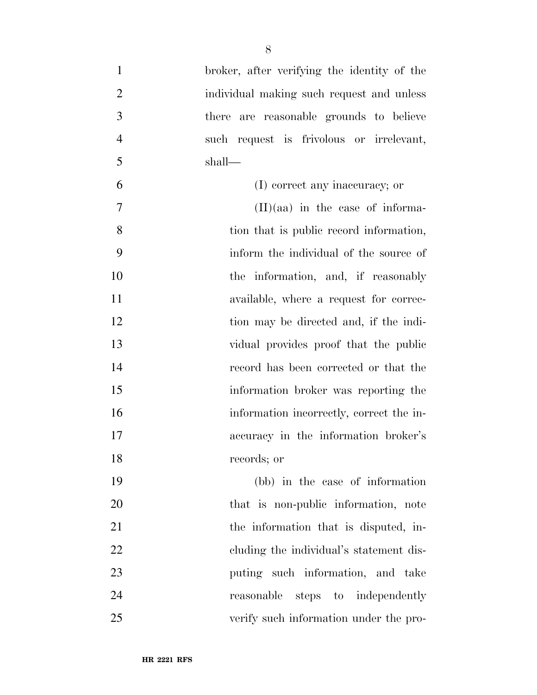| $\mathbf{1}$   | broker, after verifying the identity of the |
|----------------|---------------------------------------------|
| $\overline{2}$ | individual making such request and unless   |
| 3              | there are reasonable grounds to believe     |
| $\overline{4}$ | such request is frivolous or irrelevant,    |
| 5              | shall—                                      |
| 6              | (I) correct any inaccuracy; or              |
| 7              | $(II)(aa)$ in the case of informa-          |
| 8              | tion that is public record information,     |
| 9              | inform the individual of the source of      |
| 10             | the information, and, if reasonably         |
| 11             | available, where a request for correc-      |
| 12             | tion may be directed and, if the indi-      |
| 13             | vidual provides proof that the public       |
| 14             | record has been corrected or that the       |
| 15             | information broker was reporting the        |
| 16             | information incorrectly, correct the in-    |
| 17             | accuracy in the information broker's        |
| 18             | records; or                                 |
| 19             | (bb) in the case of information             |
| 20             | that is non-public information, note        |
| 21             | the information that is disputed, in-       |
| 22             | eluding the individual's statement dis-     |
| 23             | puting such information, and take           |
| 24             | reasonable steps to independently           |
| 25             | verify such information under the pro-      |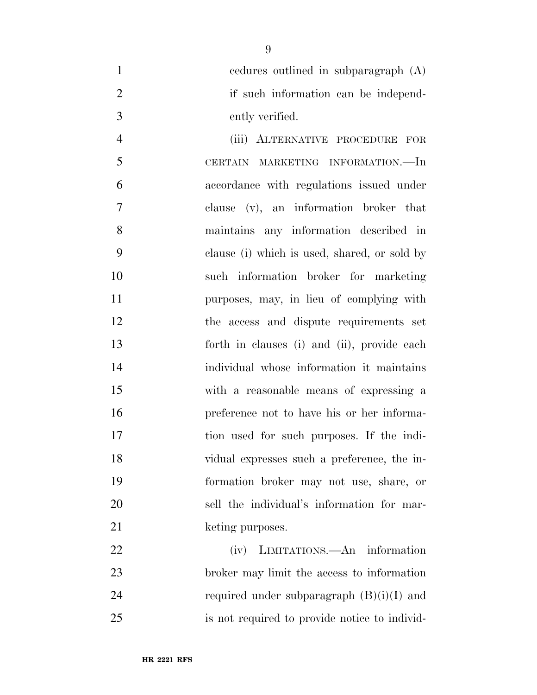cedures outlined in subparagraph (A) 2 if such information can be independ-ently verified.

 (iii) ALTERNATIVE PROCEDURE FOR CERTAIN MARKETING INFORMATION.—In accordance with regulations issued under clause (v), an information broker that maintains any information described in clause (i) which is used, shared, or sold by such information broker for marketing purposes, may, in lieu of complying with the access and dispute requirements set forth in clauses (i) and (ii), provide each individual whose information it maintains with a reasonable means of expressing a preference not to have his or her informa- tion used for such purposes. If the indi- vidual expresses such a preference, the in- formation broker may not use, share, or sell the individual's information for mar-21 keting purposes.

 (iv) LIMITATIONS.—An information broker may limit the access to information 24 required under subparagraph  $(B)(i)(I)$  and is not required to provide notice to individ-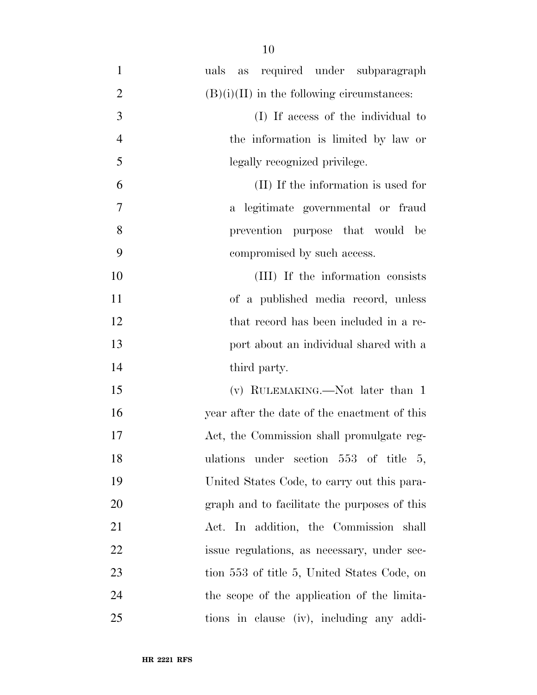uals as required under subparagraph 2 (B)(i)(II) in the following circumstances: (I) If access of the individual to the information is limited by law or legally recognized privilege. (II) If the information is used for a legitimate governmental or fraud prevention purpose that would be compromised by such access. (III) If the information consists of a published media record, unless 12 that record has been included in a re- port about an individual shared with a 14 third party. 15 (v) RULEMAKING.—Not later than 1 year after the date of the enactment of this Act, the Commission shall promulgate reg-18 ulations under section 553 of title 5, United States Code, to carry out this para- graph and to facilitate the purposes of this Act. In addition, the Commission shall issue regulations, as necessary, under sec-23 tion 553 of title 5, United States Code, on the scope of the application of the limita-tions in clause (iv), including any addi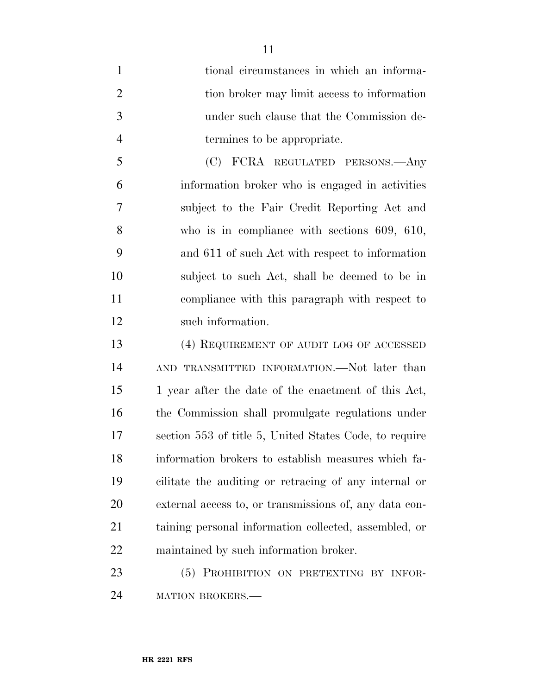tional circumstances in which an informa- tion broker may limit access to information under such clause that the Commission de-termines to be appropriate.

 (C) FCRA REGULATED PERSONS.—Any information broker who is engaged in activities subject to the Fair Credit Reporting Act and who is in compliance with sections 609, 610, and 611 of such Act with respect to information subject to such Act, shall be deemed to be in compliance with this paragraph with respect to such information.

 (4) REQUIREMENT OF AUDIT LOG OF ACCESSED AND TRANSMITTED INFORMATION.—Not later than 1 year after the date of the enactment of this Act, the Commission shall promulgate regulations under section 553 of title 5, United States Code, to require information brokers to establish measures which fa- cilitate the auditing or retracing of any internal or external access to, or transmissions of, any data con- taining personal information collected, assembled, or maintained by such information broker.

23 (5) PROHIBITION ON PRETEXTING BY INFOR-24 MATION BROKERS.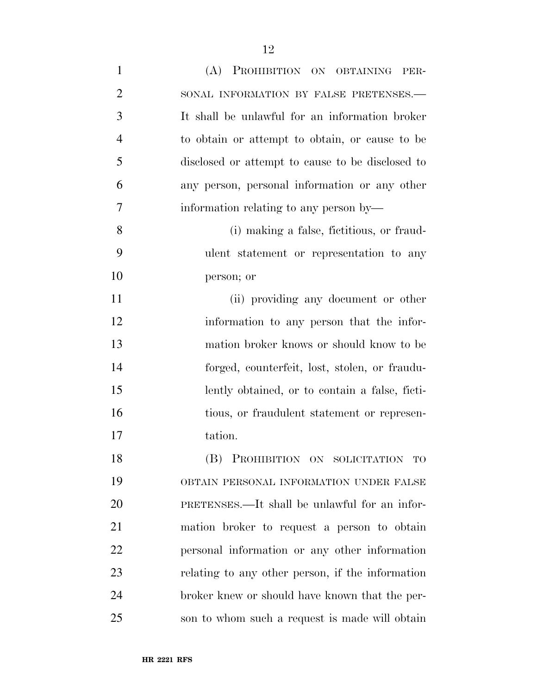| $\mathbf{1}$   | (A) PROHIBITION ON OBTAINING<br>PER-             |
|----------------|--------------------------------------------------|
| $\overline{2}$ | SONAL INFORMATION BY FALSE PRETENSES.-           |
| 3              | It shall be unlawful for an information broker   |
| $\overline{4}$ | to obtain or attempt to obtain, or cause to be   |
| 5              | disclosed or attempt to cause to be disclosed to |
| 6              | any person, personal information or any other    |
| 7              | information relating to any person by—           |
| 8              | (i) making a false, fictitious, or fraud-        |
| 9              | ulent statement or representation to any         |
| 10             | person; or                                       |
| 11             | (ii) providing any document or other             |
| 12             | information to any person that the infor-        |
| 13             | mation broker knows or should know to be         |
| 14             | forged, counterfeit, lost, stolen, or fraudu-    |
| 15             | lently obtained, or to contain a false, ficti-   |
| 16             | tious, or fraudulent statement or represen-      |
| 17             | tation.                                          |
| 18             | (B) PROHIBITION ON SOLICITATION TO               |
| 19             | OBTAIN PERSONAL INFORMATION UNDER FALSE          |
| 20             | PRETENSES.—It shall be unlawful for an infor-    |
| 21             | mation broker to request a person to obtain      |
| 22             | personal information or any other information    |
| 23             | relating to any other person, if the information |
| 24             | broker knew or should have known that the per-   |
| 25             | son to whom such a request is made will obtain   |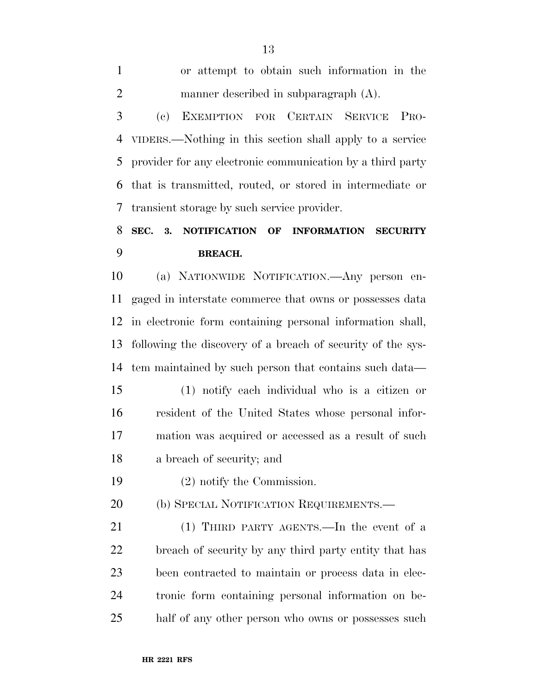| $\mathbf{1}$   | or attempt to obtain such information in the                                     |
|----------------|----------------------------------------------------------------------------------|
| $\overline{2}$ | manner described in subparagraph (A).                                            |
| 3              | EXEMPTION FOR CERTAIN SERVICE<br>$\left( \mathrm{e}\right)$<br>P <sub>RO</sub> - |
| 4              | VIDERS.—Nothing in this section shall apply to a service                         |
| 5              | provider for any electronic communication by a third party                       |
| 6              | that is transmitted, routed, or stored in intermediate or                        |
| 7              | transient storage by such service provider.                                      |
| 8              | SEC.<br>3.<br>NOTIFICATION OF<br><b>INFORMATION</b><br><b>SECURITY</b>           |
| 9              | <b>BREACH.</b>                                                                   |
| 10             | (a) NATIONWIDE NOTIFICATION.—Any person en-                                      |
| 11             | gaged in interstate commerce that owns or possesses data                         |
| 12             | in electronic form containing personal information shall,                        |
| 13             | following the discovery of a breach of security of the sys-                      |
| 14             | tem maintained by such person that contains such data—                           |
| 15             | (1) notify each individual who is a citizen or                                   |
| 16             | resident of the United States whose personal infor-                              |
| 17             | mation was acquired or accessed as a result of such                              |
| 18             | a breach of security; and                                                        |
| 19             | $(2)$ notify the Commission.                                                     |
| 20             | (b) SPECIAL NOTIFICATION REQUIREMENTS.-                                          |
| 21             | (1) THIRD PARTY AGENTS.—In the event of a                                        |
| 22             | breach of security by any third party entity that has                            |
| 23             | been contracted to maintain or process data in elec-                             |
| 24             | tronic form containing personal information on be-                               |
| 25             | half of any other person who owns or possesses such                              |
|                |                                                                                  |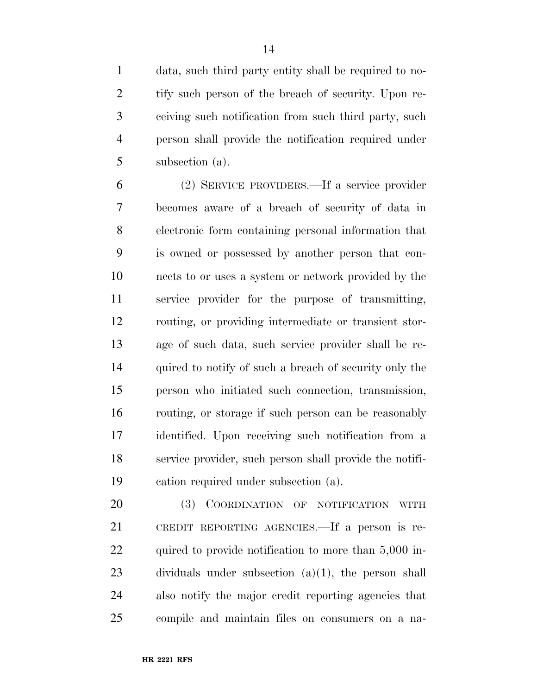data, such third party entity shall be required to no- tify such person of the breach of security. Upon re- ceiving such notification from such third party, such person shall provide the notification required under subsection (a).

 (2) SERVICE PROVIDERS.—If a service provider becomes aware of a breach of security of data in electronic form containing personal information that is owned or possessed by another person that con- nects to or uses a system or network provided by the service provider for the purpose of transmitting, routing, or providing intermediate or transient stor- age of such data, such service provider shall be re-14 quired to notify of such a breach of security only the person who initiated such connection, transmission, routing, or storage if such person can be reasonably identified. Upon receiving such notification from a service provider, such person shall provide the notifi-cation required under subsection (a).

 (3) COORDINATION OF NOTIFICATION WITH CREDIT REPORTING AGENCIES.—If a person is re-22 quired to provide notification to more than 5,000 in- dividuals under subsection (a)(1), the person shall also notify the major credit reporting agencies that compile and maintain files on consumers on a na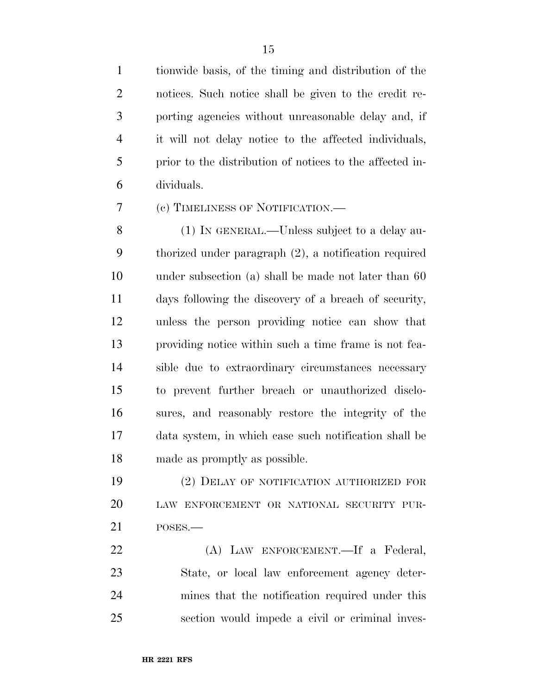tionwide basis, of the timing and distribution of the notices. Such notice shall be given to the credit re- porting agencies without unreasonable delay and, if it will not delay notice to the affected individuals, prior to the distribution of notices to the affected in-dividuals.

(c) TIMELINESS OF NOTIFICATION.—

 (1) IN GENERAL.—Unless subject to a delay au- thorized under paragraph (2), a notification required under subsection (a) shall be made not later than 60 days following the discovery of a breach of security, unless the person providing notice can show that providing notice within such a time frame is not fea- sible due to extraordinary circumstances necessary to prevent further breach or unauthorized disclo- sures, and reasonably restore the integrity of the data system, in which case such notification shall be made as promptly as possible.

 (2) DELAY OF NOTIFICATION AUTHORIZED FOR LAW ENFORCEMENT OR NATIONAL SECURITY PUR-POSES.—

 (A) LAW ENFORCEMENT.—If a Federal, State, or local law enforcement agency deter- mines that the notification required under this section would impede a civil or criminal inves-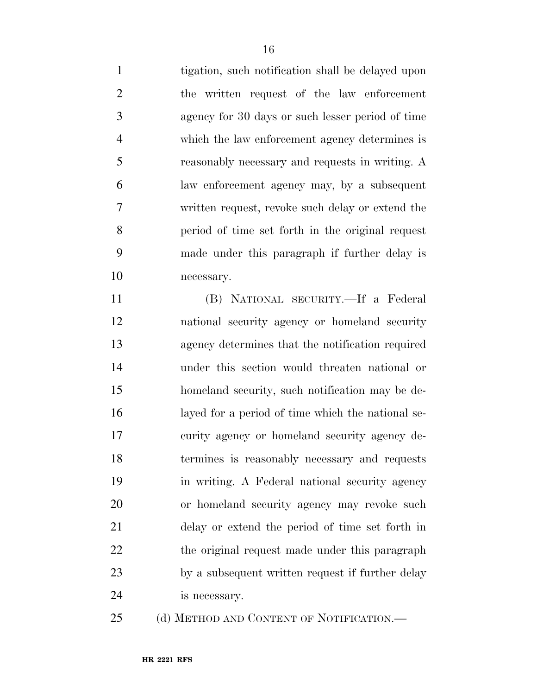tigation, such notification shall be delayed upon the written request of the law enforcement agency for 30 days or such lesser period of time which the law enforcement agency determines is reasonably necessary and requests in writing. A law enforcement agency may, by a subsequent written request, revoke such delay or extend the period of time set forth in the original request made under this paragraph if further delay is necessary.

 (B) NATIONAL SECURITY.—If a Federal national security agency or homeland security agency determines that the notification required under this section would threaten national or homeland security, such notification may be de- layed for a period of time which the national se- curity agency or homeland security agency de- termines is reasonably necessary and requests in writing. A Federal national security agency or homeland security agency may revoke such delay or extend the period of time set forth in 22 the original request made under this paragraph by a subsequent written request if further delay is necessary.

25 (d) METHOD AND CONTENT OF NOTIFICATION.—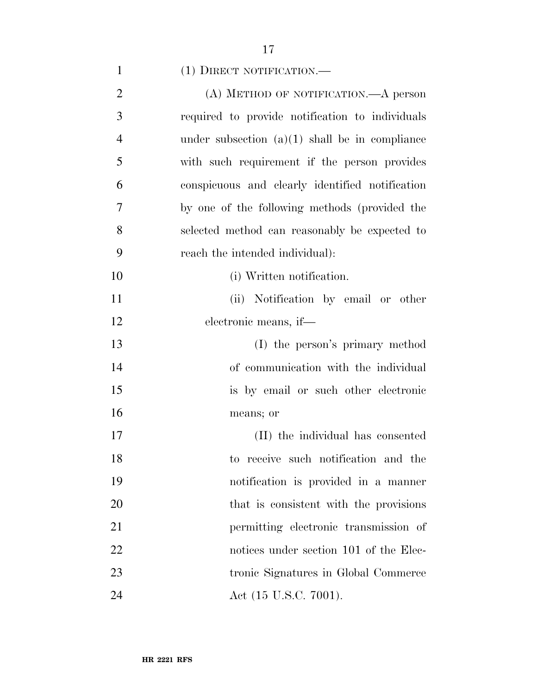| $(1)$ DIRECT NOTIFICATION.— |
|-----------------------------|
|                             |

| $\overline{2}$ | (A) METHOD OF NOTIFICATION.—A person             |
|----------------|--------------------------------------------------|
| 3              | required to provide notification to individuals  |
| $\overline{4}$ | under subsection $(a)(1)$ shall be in compliance |
| 5              | with such requirement if the person provides     |
| 6              | conspicuous and clearly identified notification  |
| 7              | by one of the following methods (provided the    |
| 8              | selected method can reasonably be expected to    |
| 9              | reach the intended individual):                  |
| 10             | (i) Written notification.                        |
| 11             | (ii) Notification by email or other              |
| 12             | electronic means, if—                            |
| 13             | (I) the person's primary method                  |
| 14             | of communication with the individual             |
| 15             | is by email or such other electronic             |
| 16             | means; or                                        |
| 17             | (II) the individual has consented                |
| 18             | to receive such notification and the             |
| 19             | notification is provided in a manner             |
| 20             | that is consistent with the provisions           |
| 21             | permitting electronic transmission of            |
| 22             | notices under section 101 of the Elec-           |
| 23             | tronic Signatures in Global Commerce             |
| 24             | Act (15 U.S.C. 7001).                            |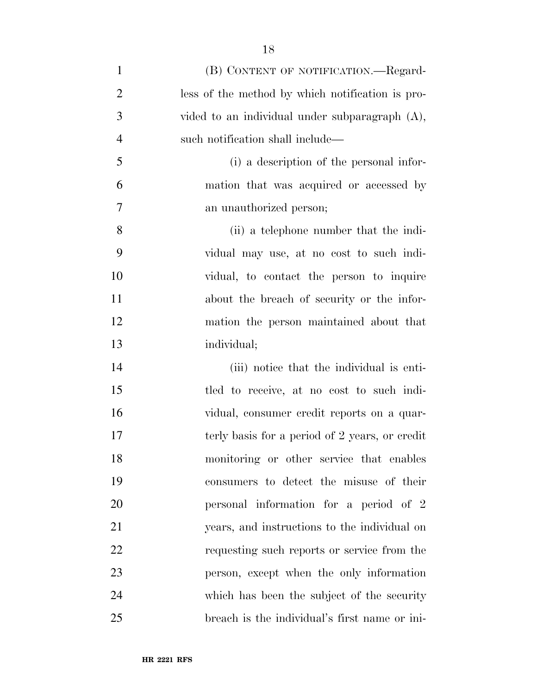| $\mathbf{1}$   | (B) CONTENT OF NOTIFICATION.—Regard-              |
|----------------|---------------------------------------------------|
| $\overline{c}$ | less of the method by which notification is pro-  |
| 3              | vided to an individual under subparagraph $(A)$ , |
| $\overline{4}$ | such notification shall include—                  |
| 5              | (i) a description of the personal infor-          |
| 6              | mation that was acquired or accessed by           |
| $\overline{7}$ | an unauthorized person;                           |
| 8              | (ii) a telephone number that the indi-            |
| 9              | vidual may use, at no cost to such indi-          |
| 10             | vidual, to contact the person to inquire          |
| 11             | about the breach of security or the infor-        |
| 12             | mation the person maintained about that           |
| 13             | individual;                                       |
| 14             | (iii) notice that the individual is enti-         |
| 15             | tled to receive, at no cost to such indi-         |
| 16             | vidual, consumer credit reports on a quar-        |
| 17             | terly basis for a period of 2 years, or credit    |
| 18             | monitoring or other service that enables          |
| 19             | consumers to detect the misuse of their           |
| 20             | personal information for a period of 2            |
| 21             | years, and instructions to the individual on      |
| 22             | requesting such reports or service from the       |
| 23             | person, except when the only information          |
| 24             | which has been the subject of the security        |
| 25             | breach is the individual's first name or ini-     |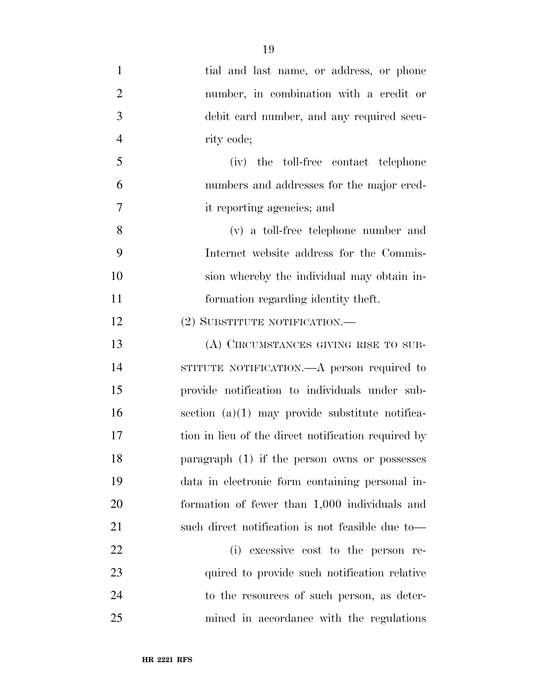tial and last name, or address, or phone number, in combination with a credit or debit card number, and any required secu-4 rity code; (iv) the toll-free contact telephone numbers and addresses for the major cred- it reporting agencies; and (v) a toll-free telephone number and Internet website address for the Commis- sion whereby the individual may obtain in- formation regarding identity theft. 12 (2) SUBSTITUTE NOTIFICATION.— (A) CIRCUMSTANCES GIVING RISE TO SUB- STITUTE NOTIFICATION.—A person required to provide notification to individuals under sub- section (a)(1) may provide substitute notifica- tion in lieu of the direct notification required by paragraph (1) if the person owns or possesses data in electronic form containing personal in- formation of fewer than 1,000 individuals and such direct notification is not feasible due to— (i) excessive cost to the person re-

23 quired to provide such notification relative to the resources of such person, as deter-mined in accordance with the regulations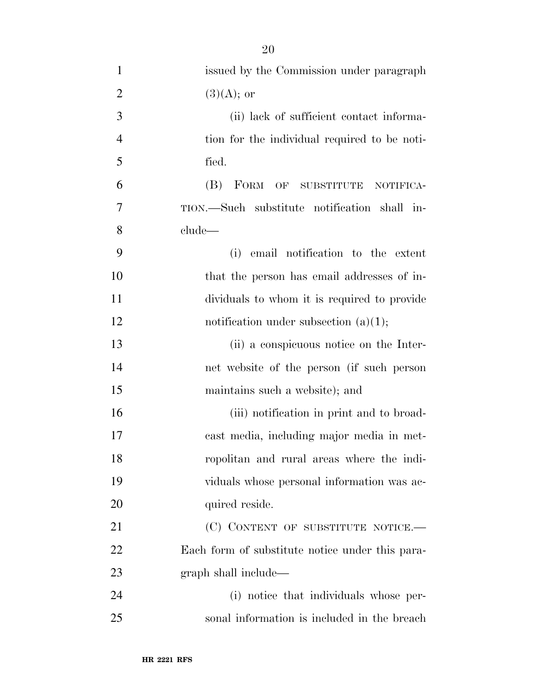| $\mathbf{1}$   | issued by the Commission under paragraph        |
|----------------|-------------------------------------------------|
| $\overline{2}$ | $(3)(A);$ or                                    |
| 3              | (ii) lack of sufficient contact informa-        |
| $\overline{4}$ | tion for the individual required to be noti-    |
| 5              | fied.                                           |
| 6              | (B) FORM OF SUBSTITUTE<br>NOTIFICA-             |
| 7              | TION.—Such substitute notification shall in-    |
| 8              | clude—                                          |
| 9              | email notification to the extent<br>(i)         |
| 10             | that the person has email addresses of in-      |
| 11             | dividuals to whom it is required to provide     |
| 12             | notification under subsection $(a)(1);$         |
| 13             | (ii) a conspicuous notice on the Inter-         |
| 14             | net website of the person (if such person       |
| 15             | maintains such a website); and                  |
| 16             | (iii) notification in print and to broad-       |
| 17             | cast media, including major media in met-       |
| 18             | ropolitan and rural areas where the indi-       |
| 19             | viduals whose personal information was ac-      |
| 20             | quired reside.                                  |
| 21             | (C) CONTENT OF SUBSTITUTE NOTICE.—              |
| 22             | Each form of substitute notice under this para- |
| 23             | graph shall include—                            |
| 24             | (i) notice that individuals whose per-          |
| 25             | sonal information is included in the breach     |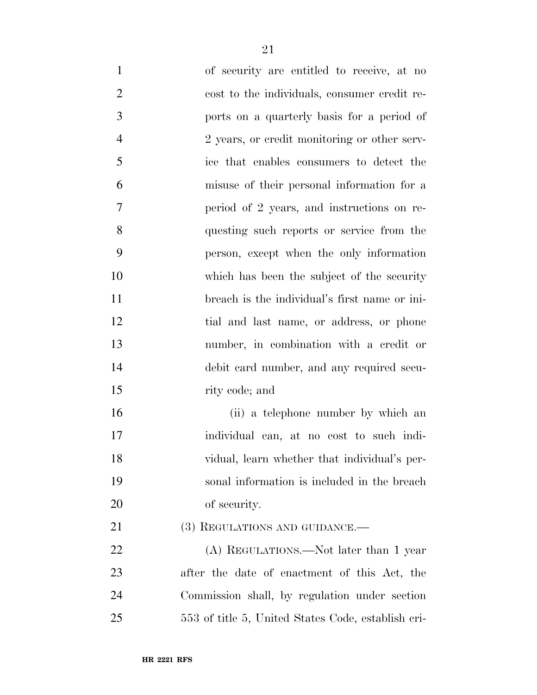of security are entitled to receive, at no cost to the individuals, consumer credit re- ports on a quarterly basis for a period of 2 years, or credit monitoring or other serv- ice that enables consumers to detect the misuse of their personal information for a period of 2 years, and instructions on re- questing such reports or service from the person, except when the only information which has been the subject of the security breach is the individual's first name or ini- tial and last name, or address, or phone number, in combination with a credit or debit card number, and any required secu- rity code; and (ii) a telephone number by which an individual can, at no cost to such indi- vidual, learn whether that individual's per- sonal information is included in the breach of security. 21 (3) REGULATIONS AND GUIDANCE.—

22 (A) REGULATIONS.—Not later than 1 year after the date of enactment of this Act, the Commission shall, by regulation under section 553 of title 5, United States Code, establish cri-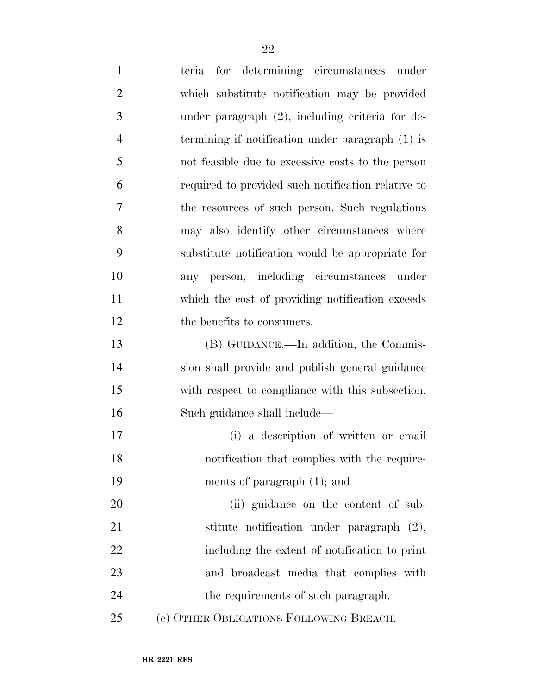|                | terra for determining circumstances under          |
|----------------|----------------------------------------------------|
| $\overline{2}$ | which substitute notification may be provided      |
| 3              | under paragraph (2), including criteria for de-    |
| $\overline{4}$ | termining if notification under paragraph (1) is   |
| 5              | not feasible due to excessive costs to the person  |
| 6              | required to provided such notification relative to |
| 7              | the resources of such person. Such regulations     |
| 8              | may also identify other circumstances where        |
| 9              | substitute notification would be appropriate for   |
| 10             | any person, including circumstances under          |
| 11             | which the cost of providing notification exceeds   |
| 12             | the benefits to consumers.                         |
| 13             | (B) GUIDANCE.—In addition, the Commis-             |
| 14             | sion shall provide and publish general guidance    |
| 15             | with respect to compliance with this subsection.   |
| 16             | Such guidance shall include—                       |
| 17             | (i) a description of written or email              |
| 18             | notification that complies with the require-       |
| 19             | ments of paragraph $(1)$ ; and                     |
| 20             | (ii) guidance on the content of sub-               |
| 21             | stitute notification under paragraph (2),          |
| 22             | including the extent of notification to print      |
| 23             | and broadcast media that complies with             |
| 24             | the requirements of such paragraph.                |
| 25             | (e) OTHER OBLIGATIONS FOLLOWING BREACH.-           |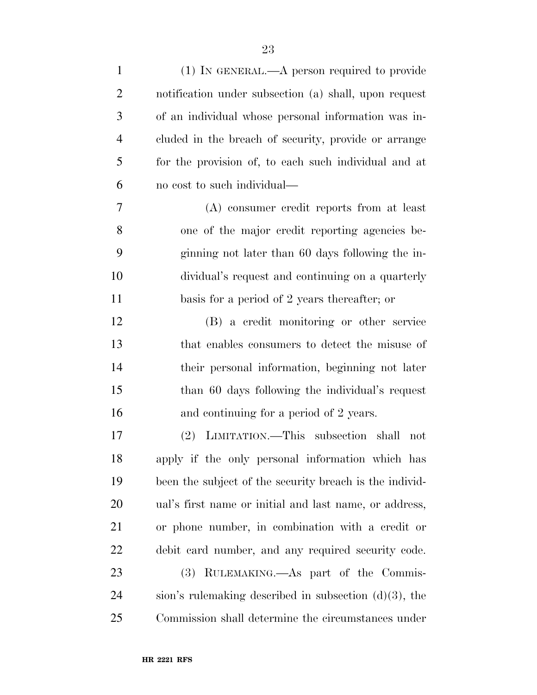| $\mathbf{1}$   | $(1)$ IN GENERAL.—A person required to provide           |
|----------------|----------------------------------------------------------|
| $\overline{2}$ | notification under subsection (a) shall, upon request    |
| 3              | of an individual whose personal information was in-      |
| $\overline{4}$ | cluded in the breach of security, provide or arrange     |
| 5              | for the provision of, to each such individual and at     |
| 6              | no cost to such individual—                              |
| 7              | (A) consumer credit reports from at least                |
| 8              | one of the major credit reporting agencies be-           |
| 9              | ginning not later than 60 days following the in-         |
| 10             | dividual's request and continuing on a quarterly         |
| 11             | basis for a period of 2 years thereafter; or             |
| 12             | (B) a credit monitoring or other service                 |
| 13             | that enables consumers to detect the misuse of           |
| 14             | their personal information, beginning not later          |
| 15             | than 60 days following the individual's request          |
| 16             | and continuing for a period of 2 years.                  |
| 17             | LIMITATION.—This subsection shall<br>$(2)^{-}$<br>not    |
| 18             | apply if the only personal information which has         |
| 19             | been the subject of the security breach is the individ-  |
| 20             | ual's first name or initial and last name, or address,   |
| 21             | or phone number, in combination with a credit or         |
| <u>22</u>      | debit card number, and any required security code.       |
| 23             | (3) RULEMAKING.—As part of the Commis-                   |
| 24             | sion's rulemaking described in subsection $(d)(3)$ , the |
| 25             | Commission shall determine the circumstances under       |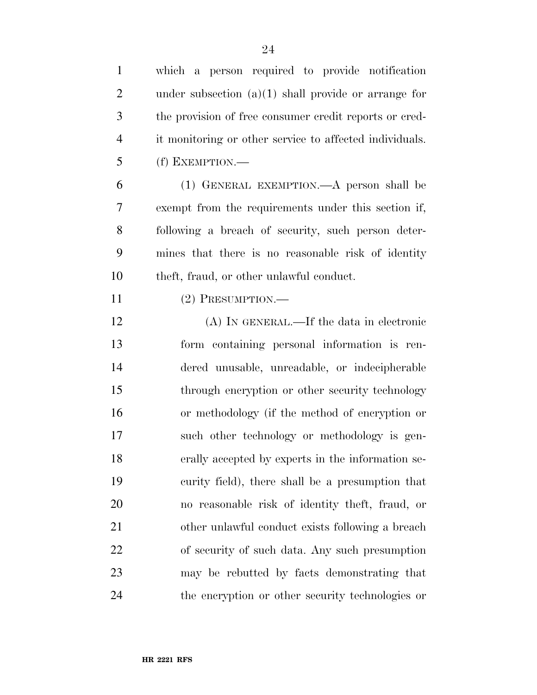| $\mathbf{1}$   | which a person required to provide notification         |
|----------------|---------------------------------------------------------|
| $\overline{2}$ | under subsection $(a)(1)$ shall provide or arrange for  |
| 3              | the provision of free consumer credit reports or cred-  |
| $\overline{4}$ | it monitoring or other service to affected individuals. |
| 5              | (f) EXEMPTION.—                                         |
| 6              | (1) GENERAL EXEMPTION. A person shall be                |
| 7              | exempt from the requirements under this section if,     |
| 8              | following a breach of security, such person deter-      |
| 9              | mines that there is no reasonable risk of identity      |
| 10             | theft, fraud, or other unlawful conduct.                |
| 11             | $(2)$ PRESUMPTION.—                                     |
| 12             | (A) IN GENERAL.—If the data in electronic               |
| 13             | form containing personal information is ren-            |
| 14             | dered unusable, unreadable, or indecipherable           |
| 15             | through encryption or other security technology         |
| 16             | or methodology (if the method of encryption or          |
| 17             | such other technology or methodology is gen-            |
| 18             | erally accepted by experts in the information se-       |
| 19             | curity field), there shall be a presumption that        |
| 20             | no reasonable risk of identity theft, fraud, or         |
| 21             | other unlawful conduct exists following a breach        |
| <u>22</u>      | of security of such data. Any such presumption          |
| 23             | may be rebutted by facts demonstrating that             |
| 24             | the encryption or other security technologies or        |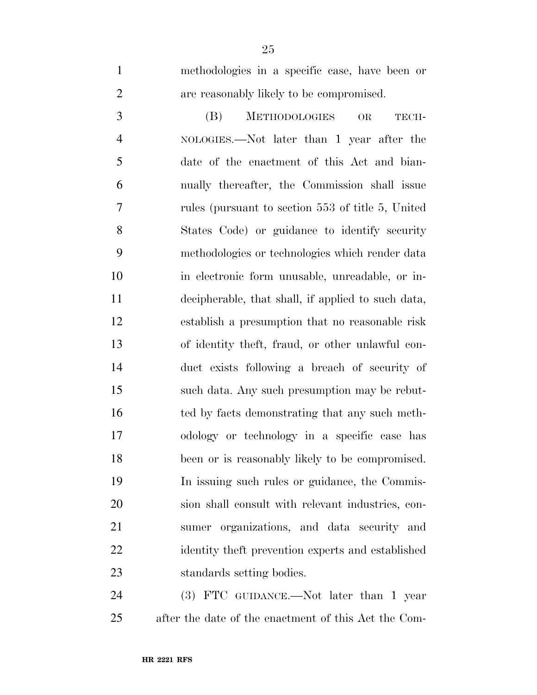methodologies in a specific case, have been or are reasonably likely to be compromised.

 (B) METHODOLOGIES OR TECH- NOLOGIES.—Not later than 1 year after the date of the enactment of this Act and bian- nually thereafter, the Commission shall issue rules (pursuant to section 553 of title 5, United States Code) or guidance to identify security methodologies or technologies which render data in electronic form unusable, unreadable, or in- decipherable, that shall, if applied to such data, establish a presumption that no reasonable risk of identity theft, fraud, or other unlawful con- duct exists following a breach of security of such data. Any such presumption may be rebut- ted by facts demonstrating that any such meth- odology or technology in a specific case has been or is reasonably likely to be compromised. In issuing such rules or guidance, the Commis- sion shall consult with relevant industries, con- sumer organizations, and data security and identity theft prevention experts and established standards setting bodies.

24 (3) FTC GUIDANCE.—Not later than 1 year after the date of the enactment of this Act the Com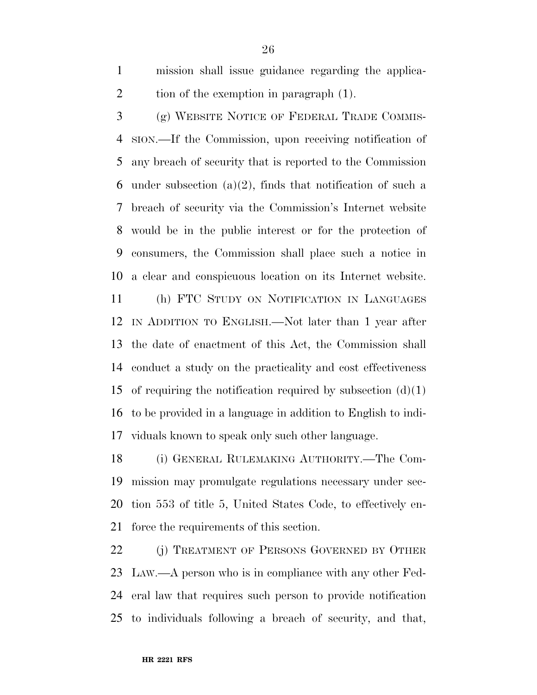mission shall issue guidance regarding the applica-2 tion of the exemption in paragraph (1).

 (g) WEBSITE NOTICE OF FEDERAL TRADE COMMIS- SION.—If the Commission, upon receiving notification of any breach of security that is reported to the Commission 6 under subsection  $(a)(2)$ , finds that notification of such a breach of security via the Commission's Internet website would be in the public interest or for the protection of consumers, the Commission shall place such a notice in a clear and conspicuous location on its Internet website.

 (h) FTC STUDY ON NOTIFICATION IN LANGUAGES IN ADDITION TO ENGLISH.—Not later than 1 year after the date of enactment of this Act, the Commission shall conduct a study on the practicality and cost effectiveness 15 of requiring the notification required by subsection  $(d)(1)$  to be provided in a language in addition to English to indi-viduals known to speak only such other language.

 (i) GENERAL RULEMAKING AUTHORITY.—The Com- mission may promulgate regulations necessary under sec- tion 553 of title 5, United States Code, to effectively en-force the requirements of this section.

22 (j) TREATMENT OF PERSONS GOVERNED BY OTHER LAW.—A person who is in compliance with any other Fed- eral law that requires such person to provide notification to individuals following a breach of security, and that,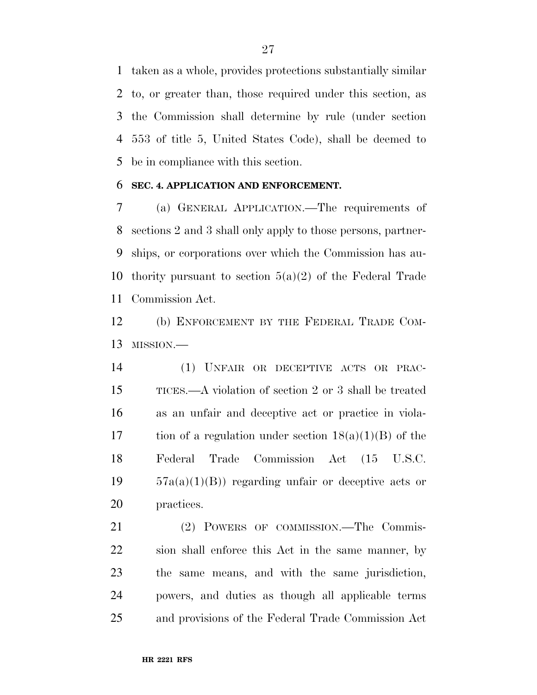taken as a whole, provides protections substantially similar to, or greater than, those required under this section, as the Commission shall determine by rule (under section 553 of title 5, United States Code), shall be deemed to be in compliance with this section.

#### **SEC. 4. APPLICATION AND ENFORCEMENT.**

 (a) GENERAL APPLICATION.—The requirements of sections 2 and 3 shall only apply to those persons, partner- ships, or corporations over which the Commission has au-10 thority pursuant to section  $5(a)(2)$  of the Federal Trade Commission Act.

 (b) ENFORCEMENT BY THE FEDERAL TRADE COM-MISSION.—

 (1) UNFAIR OR DECEPTIVE ACTS OR PRAC- TICES.—A violation of section 2 or 3 shall be treated as an unfair and deceptive act or practice in viola-17 tion of a regulation under section  $18(a)(1)(B)$  of the Federal Trade Commission Act (15 U.S.C.  $19 \qquad 57a(a)(1)(B)$  regarding unfair or deceptive acts or practices.

 (2) POWERS OF COMMISSION.—The Commis- sion shall enforce this Act in the same manner, by the same means, and with the same jurisdiction, powers, and duties as though all applicable terms and provisions of the Federal Trade Commission Act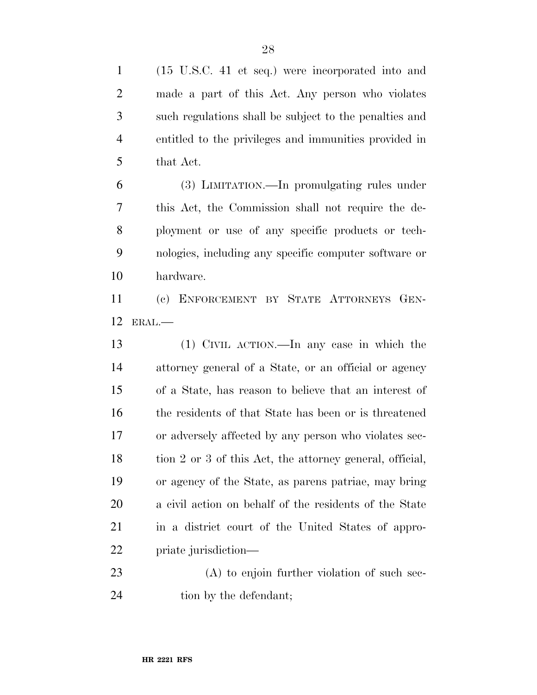| $\mathbf{1}$   | (15 U.S.C. 41 et seq.) were incorporated into and        |
|----------------|----------------------------------------------------------|
| $\overline{2}$ | made a part of this Act. Any person who violates         |
| 3              | such regulations shall be subject to the penalties and   |
| $\overline{4}$ | entitled to the privileges and immunities provided in    |
| 5              | that Act.                                                |
| 6              | (3) LIMITATION.—In promulgating rules under              |
| 7              | this Act, the Commission shall not require the de-       |
| 8              | ployment or use of any specific products or tech-        |
| 9              | nologies, including any specific computer software or    |
| 10             | hardware.                                                |
| 11             | (c) ENFORCEMENT BY STATE ATTORNEYS GEN-                  |
| 12             | ERAL.                                                    |
|                |                                                          |
| 13             | (1) CIVIL ACTION.—In any case in which the               |
| 14             | attorney general of a State, or an official or agency    |
| 15             | of a State, has reason to believe that an interest of    |
| 16             | the residents of that State has been or is threatened    |
| 17             | or adversely affected by any person who violates sec-    |
| 18             | tion 2 or 3 of this Act, the attorney general, official, |
| 19             | or agency of the State, as parens patriae, may bring     |
| 20             | a civil action on behalf of the residents of the State   |
| 21             | in a district court of the United States of appro-       |
| 22             | priate jurisdiction—                                     |
| 23             | $(A)$ to enjoin further violation of such sec-           |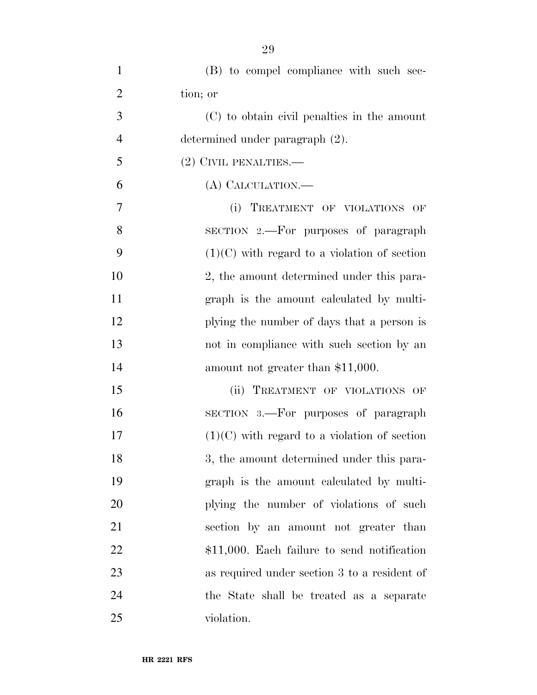| $\mathbf{1}$   | (B) to compel compliance with such sec-        |
|----------------|------------------------------------------------|
| $\overline{2}$ | tion; or                                       |
| 3              | (C) to obtain civil penalties in the amount    |
| $\overline{4}$ | determined under paragraph (2).                |
| 5              | $(2)$ CIVIL PENALTIES.—                        |
| 6              | (A) CALCULATION.—                              |
| $\overline{7}$ | (i) TREATMENT OF VIOLATIONS OF                 |
| 8              | SECTION 2.—For purposes of paragraph           |
| 9              | $(1)(C)$ with regard to a violation of section |
| 10             | 2, the amount determined under this para-      |
| 11             | graph is the amount calculated by multi-       |
| 12             | plying the number of days that a person is     |
| 13             | not in compliance with such section by an      |
| 14             | amount not greater than \$11,000.              |
| 15             | TREATMENT OF VIOLATIONS OF<br>(ii)             |
| 16             | SECTION 3.—For purposes of paragraph           |
| 17             | $(1)(C)$ with regard to a violation of section |
| 18             | 3, the amount determined under this para-      |
| 19             | graph is the amount calculated by multi-       |
| 20             | plying the number of violations of such        |
| 21             | section by an amount not greater than          |
| 22             | $$11,000$ . Each failure to send notification  |
| 23             | as required under section 3 to a resident of   |
| 24             | the State shall be treated as a separate       |
| 25             | violation.                                     |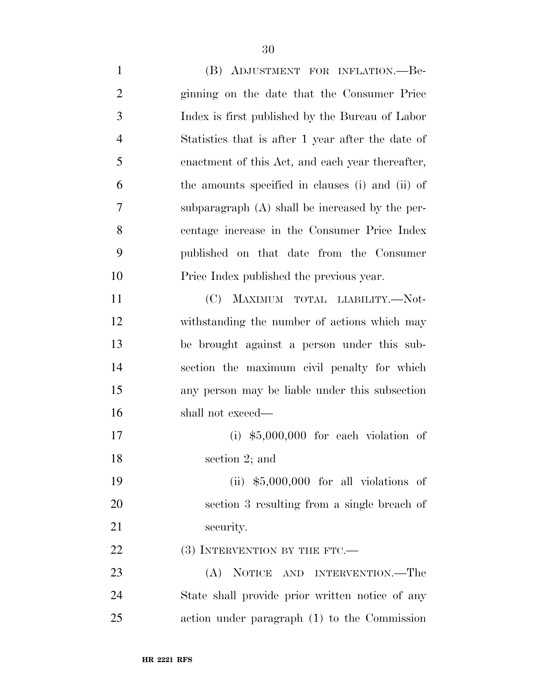(B) ADJUSTMENT FOR INFLATION.—Be- ginning on the date that the Consumer Price Index is first published by the Bureau of Labor Statistics that is after 1 year after the date of enactment of this Act, and each year thereafter, the amounts specified in clauses (i) and (ii) of subparagraph (A) shall be increased by the per- centage increase in the Consumer Price Index published on that date from the Consumer Price Index published the previous year. (C) MAXIMUM TOTAL LIABILITY.—Not- withstanding the number of actions which may be brought against a person under this sub- section the maximum civil penalty for which any person may be liable under this subsection shall not exceed— (i) \$5,000,000 for each violation of section 2; and (ii) \$5,000,000 for all violations of section 3 resulting from a single breach of 21 security. 22 (3) INTERVENTION BY THE FTC.— (A) NOTICE AND INTERVENTION.—The State shall provide prior written notice of any action under paragraph (1) to the Commission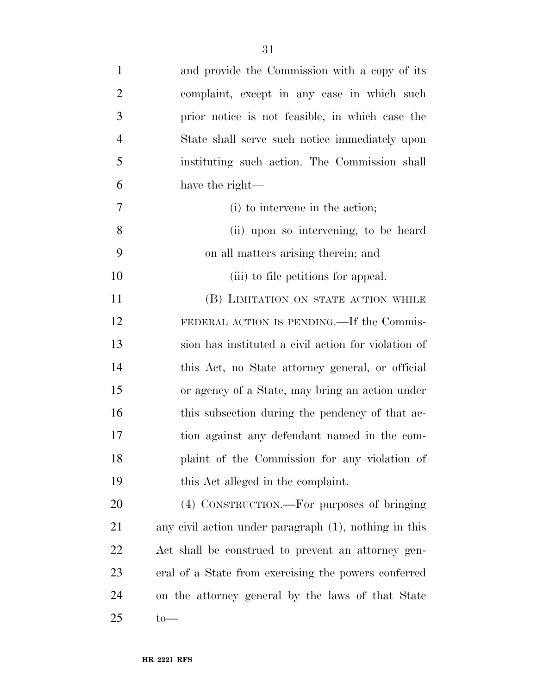| $\mathbf{1}$   | and provide the Commission with a copy of its         |
|----------------|-------------------------------------------------------|
| $\overline{2}$ | complaint, except in any case in which such           |
| 3              | prior notice is not feasible, in which case the       |
| $\overline{4}$ | State shall serve such notice immediately upon        |
| 5              | instituting such action. The Commission shall         |
| 6              | have the right—                                       |
| 7              | (i) to intervene in the action;                       |
| 8              | (ii) upon so intervening, to be heard                 |
| 9              | on all matters arising therein; and                   |
| 10             | (iii) to file petitions for appeal.                   |
| 11             | (B) LIMITATION ON STATE ACTION WHILE                  |
| 12             | FEDERAL ACTION IS PENDING.—If the Commis-             |
| 13             | sion has instituted a civil action for violation of   |
| 14             | this Act, no State attorney general, or official      |
| 15             | or agency of a State, may bring an action under       |
| 16             | this subsection during the pendency of that ac-       |
| 17             | tion against any defendant named in the com-          |
| 18             | plaint of the Commission for any violation of         |
| 19             | this Act alleged in the complaint.                    |
| 20             | (4) CONSTRUCTION.—For purposes of bringing            |
| 21             | any civil action under paragraph (1), nothing in this |
| 22             | Act shall be construed to prevent an attorney gen-    |
| 23             | eral of a State from exercising the powers conferred  |
| 24             | on the attorney general by the laws of that State     |
| 25             | $\text{to}$                                           |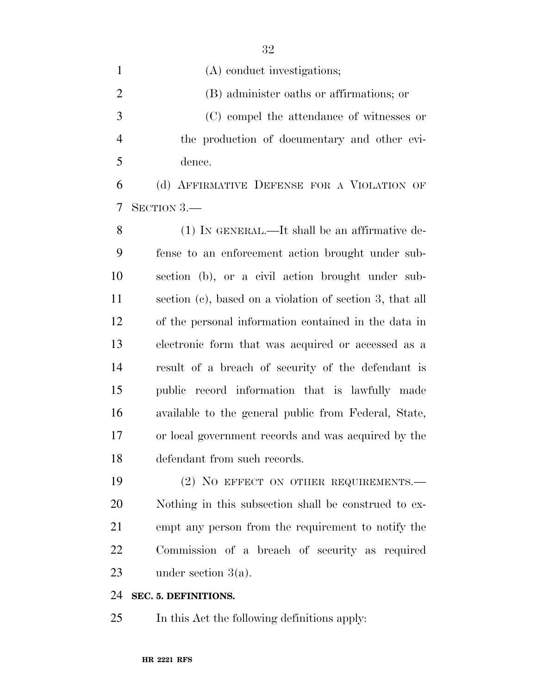| $\mathbf{1}$   | (A) conduct investigations;                              |
|----------------|----------------------------------------------------------|
| $\overline{2}$ | (B) administer oaths or affirmations; or                 |
| 3              | (C) compel the attendance of witnesses or                |
| $\overline{4}$ | the production of documentary and other evi-             |
| 5              | dence.                                                   |
| 6              | (d) AFFIRMATIVE DEFENSE FOR A VIOLATION OF               |
| 7              | SECTION 3.—                                              |
| 8              | $(1)$ In GENERAL.—It shall be an affirmative de-         |
| 9              | fense to an enforcement action brought under sub-        |
| 10             | section (b), or a civil action brought under sub-        |
| 11             | section (c), based on a violation of section 3, that all |
| 12             | of the personal information contained in the data in     |
| 13             | electronic form that was acquired or accessed as a       |
| 14             | result of a breach of security of the defendant is       |
| 15             | public record information that is lawfully made          |

 available to the general public from Federal, State, or local government records and was acquired by the defendant from such records.

19 (2) NO EFFECT ON OTHER REQUIREMENTS. Nothing in this subsection shall be construed to ex- empt any person from the requirement to notify the Commission of a breach of security as required under section 3(a).

#### **SEC. 5. DEFINITIONS.**

In this Act the following definitions apply: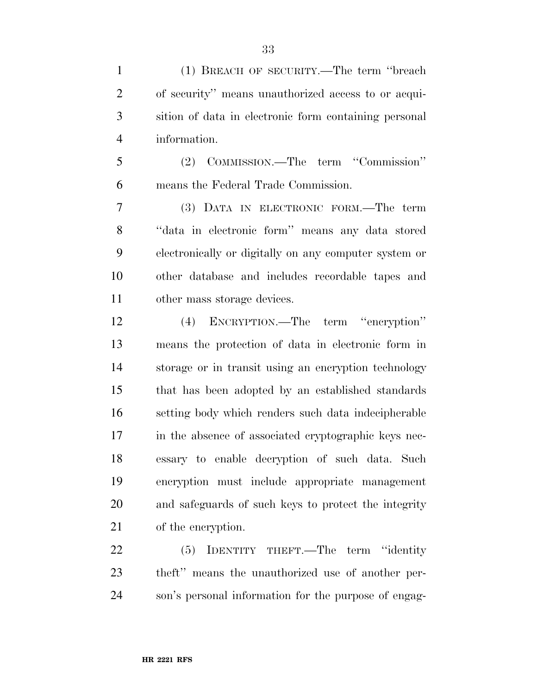(1) BREACH OF SECURITY.—The term ''breach of security'' means unauthorized access to or acqui- sition of data in electronic form containing personal information.

 (2) COMMISSION.—The term ''Commission'' means the Federal Trade Commission.

 (3) DATA IN ELECTRONIC FORM.—The term ''data in electronic form'' means any data stored electronically or digitally on any computer system or other database and includes recordable tapes and other mass storage devices.

 (4) ENCRYPTION.—The term ''encryption'' means the protection of data in electronic form in storage or in transit using an encryption technology that has been adopted by an established standards setting body which renders such data indecipherable in the absence of associated cryptographic keys nec- essary to enable decryption of such data. Such encryption must include appropriate management and safeguards of such keys to protect the integrity of the encryption.

22 (5) IDENTITY THEFT.—The term "identity" theft'' means the unauthorized use of another per-son's personal information for the purpose of engag-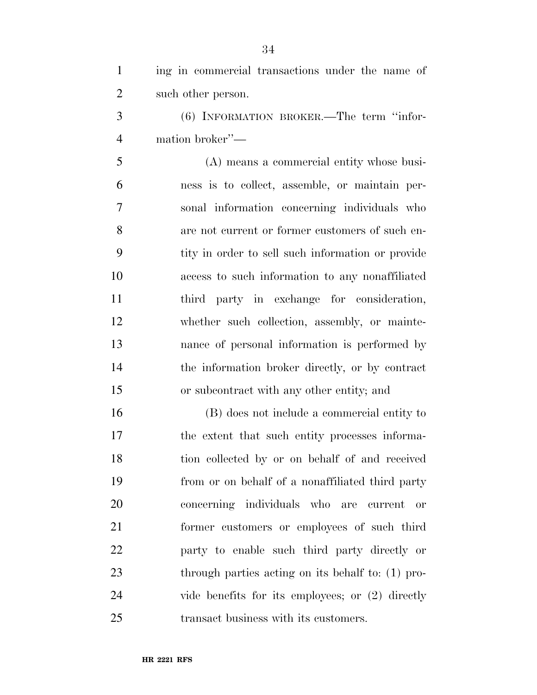| $\mathbf{1}$   | ing in commercial transactions under the name of   |
|----------------|----------------------------------------------------|
| $\overline{2}$ | such other person.                                 |
| 3              | (6) INFORMATION BROKER.—The term "infor-           |
| $\overline{4}$ | mation broker"—                                    |
| 5              | (A) means a commercial entity whose busi-          |
| 6              | ness is to collect, assemble, or maintain per-     |
| 7              | sonal information concerning individuals who       |
| 8              | are not current or former customers of such en-    |
| 9              | tity in order to sell such information or provide  |
| 10             | access to such information to any nonaffiliated    |
| 11             | third party in exchange for consideration,         |
| 12             | whether such collection, assembly, or mainte-      |
| 13             | nance of personal information is performed by      |
| 14             | the information broker directly, or by contract    |
| 15             | or subcontract with any other entity; and          |
| 16             | (B) does not include a commercial entity to        |
| 17             | the extent that such entity processes informa-     |
| 18             | tion collected by or on behalf of and received     |
| 19             | from or on behalf of a nonaffiliated third party   |
| 20             | concerning individuals who are current<br>or       |
| 21             | former customers or employees of such third        |
| <u>22</u>      | party to enable such third party directly or       |
| 23             | through parties acting on its behalf to: (1) pro-  |
| 24             | vide benefits for its employees; or $(2)$ directly |
| 25             | transact business with its customers.              |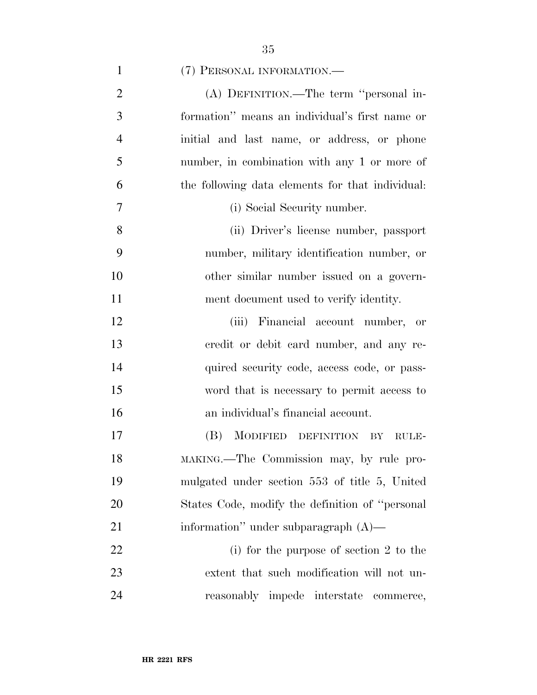| $\mathbf{1}$   | (7) PERSONAL INFORMATION.                        |
|----------------|--------------------------------------------------|
| $\overline{2}$ | (A) DEFINITION.—The term "personal in-           |
| $\overline{3}$ | formation" means an individual's first name or   |
| $\overline{4}$ | initial and last name, or address, or phone      |
| 5              | number, in combination with any 1 or more of     |
| 6              | the following data elements for that individual: |
| $\overline{7}$ | (i) Social Security number.                      |
| 8              | (ii) Driver's license number, passport           |
| 9              | number, military identification number, or       |
| 10             | other similar number issued on a govern-         |

 (iii) Financial account number, or credit or debit card number, and any re-14 quired security code, access code, or pass- word that is necessary to permit access to an individual's financial account.

ment document used to verify identity.

 (B) MODIFIED DEFINITION BY RULE- MAKING.—The Commission may, by rule pro- mulgated under section 553 of title 5, United States Code, modify the definition of ''personal 21 information'' under subparagraph (A)—

 (i) for the purpose of section 2 to the extent that such modification will not un-reasonably impede interstate commerce,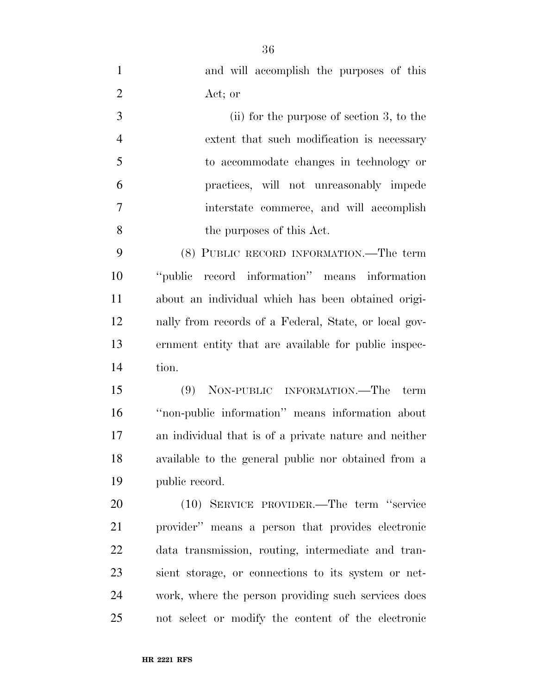| $\mathbf{1}$   | and will accomplish the purposes of this              |
|----------------|-------------------------------------------------------|
| $\overline{2}$ | Act; or                                               |
| 3              | $(ii)$ for the purpose of section 3, to the           |
| $\overline{4}$ | extent that such modification is necessary            |
| 5              | to accommodate changes in technology or               |
| 6              | practices, will not unreasonably impede               |
| $\overline{7}$ | interstate commerce, and will accomplish              |
| 8              | the purposes of this Act.                             |
| 9              | (8) PUBLIC RECORD INFORMATION.—The term               |
| 10             | "public record information" means information         |
| 11             | about an individual which has been obtained origi-    |
| 12             | nally from records of a Federal, State, or local gov- |
| 13             | ernment entity that are available for public inspec-  |
| 14             | tion.                                                 |
| 15             | (9) NON-PUBLIC INFORMATION.—The term                  |
| 16             | "non-public information" means information about      |
| 17             | an individual that is of a private nature and neither |
| 18             | available to the general public nor obtained from a   |
| 19             | public record.                                        |
| 20             | (10) SERVICE PROVIDER.—The term "service"             |
| 21             | provider" means a person that provides electronic     |
| 22             | data transmission, routing, intermediate and tran-    |
| 23             | sient storage, or connections to its system or net-   |
| 24             | work, where the person providing such services does   |
| 25             | not select or modify the content of the electronic    |

**HR 2221 RFS**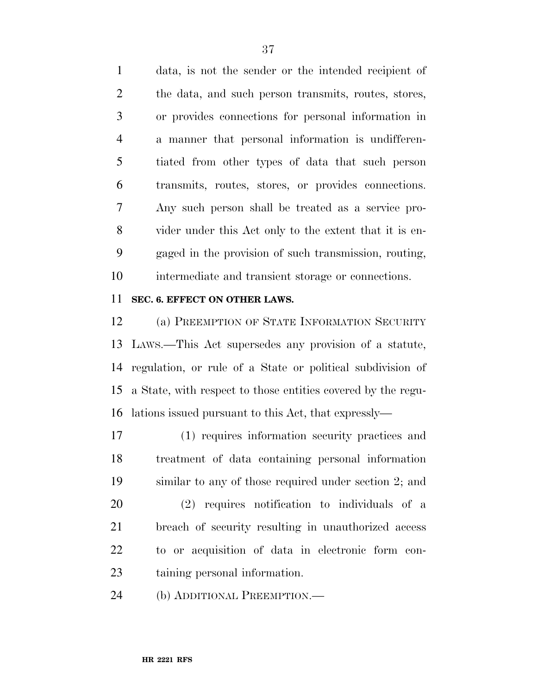data, is not the sender or the intended recipient of the data, and such person transmits, routes, stores, or provides connections for personal information in a manner that personal information is undifferen- tiated from other types of data that such person transmits, routes, stores, or provides connections. Any such person shall be treated as a service pro- vider under this Act only to the extent that it is en- gaged in the provision of such transmission, routing, intermediate and transient storage or connections.

### **SEC. 6. EFFECT ON OTHER LAWS.**

 (a) PREEMPTION OF STATE INFORMATION SECURITY LAWS.—This Act supersedes any provision of a statute, regulation, or rule of a State or political subdivision of a State, with respect to those entities covered by the regu-lations issued pursuant to this Act, that expressly—

 (1) requires information security practices and treatment of data containing personal information similar to any of those required under section 2; and

 (2) requires notification to individuals of a breach of security resulting in unauthorized access to or acquisition of data in electronic form con-taining personal information.

(b) ADDITIONAL PREEMPTION.—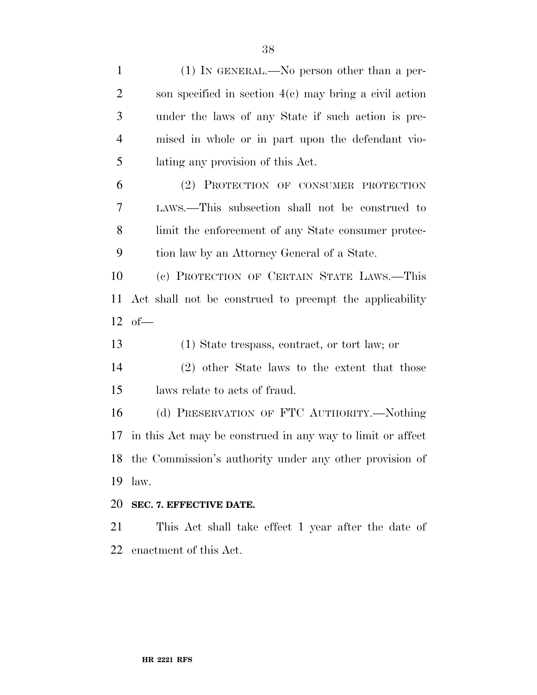| $(1)$ In GENERAL.—No person other than a per-              |
|------------------------------------------------------------|
| son specified in section $4(c)$ may bring a civil action   |
| under the laws of any State if such action is pre-         |
| mised in whole or in part upon the defendant vio-          |
| lating any provision of this Act.                          |
| (2) PROTECTION OF CONSUMER PROTECTION                      |
| LAWS.—This subsection shall not be construed to            |
| limit the enforcement of any State consumer protec-        |
| tion law by an Attorney General of a State.                |
| (c) PROTECTION OF CERTAIN STATE LAWS.—This                 |
|                                                            |
| Act shall not be construed to preempt the applicability    |
| $12$ of $-$                                                |
| (1) State trespass, contract, or tort law; or              |
| (2) other State laws to the extent that those              |
| laws relate to acts of fraud.                              |
| (d) PRESERVATION OF FTC AUTHORITY.—Nothing                 |
| in this Act may be construed in any way to limit or affect |
| 18 the Commission's authority under any other provision of |
| law.                                                       |
| SEC. 7. EFFECTIVE DATE.                                    |
| This Act shall take effect 1 year after the date of        |
|                                                            |